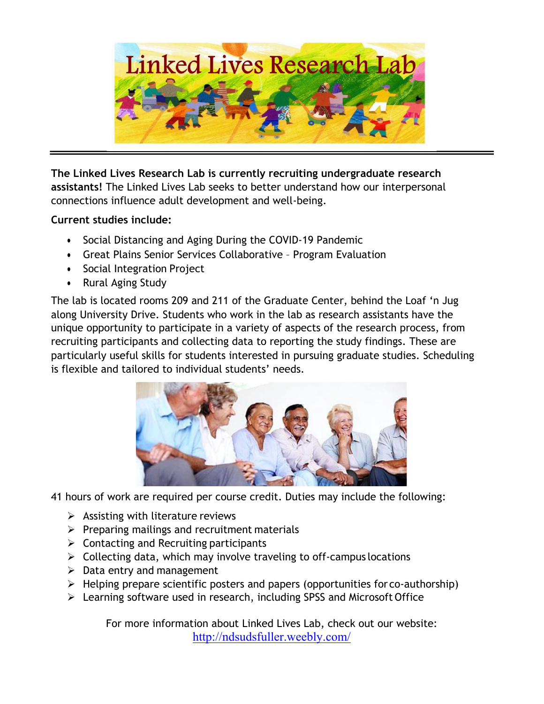

**The Linked Lives Research Lab is currently recruiting undergraduate research assistants!** The Linked Lives Lab seeks to better understand how our interpersonal connections influence adult development and well-being.

## **Current studies include:**

- Social Distancing and Aging During the COVID-19 Pandemic
- Great Plains Senior Services Collaborative Program Evaluation
- Social Integration Project
- Rural Aging Study

The lab is located rooms 209 and 211 of the Graduate Center, behind the Loaf 'n Jug along University Drive. Students who work in the lab as research assistants have the unique opportunity to participate in a variety of aspects of the research process, from recruiting participants and collecting data to reporting the study findings. These are particularly useful skills for students interested in pursuing graduate studies. Scheduling is flexible and tailored to individual students' needs.



41 hours of work are required per course credit. Duties may include the following:

- $\triangleright$  Assisting with literature reviews
- $\triangleright$  Preparing mailings and recruitment materials
- $\triangleright$  Contacting and Recruiting participants
- $\triangleright$  Collecting data, which may involve traveling to off-campus locations
- $\triangleright$  Data entry and management
- $\triangleright$  Helping prepare scientific posters and papers (opportunities for co-authorship)
- Ø Learning software used in research, including SPSS and Microsoft Office

For more information about Linked Lives Lab, check out our website: http://ndsudsfuller.weebly.com/